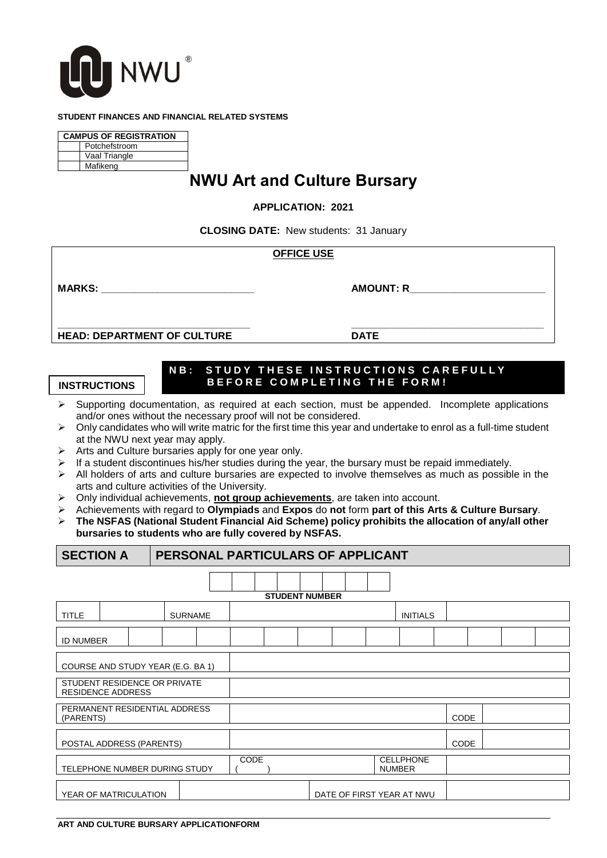

### **STUDENT FINANCES AND FINANCIAL RELATED SYSTEMS**

| <b>CAMPUS OF REGISTRATION</b> |               |  |  |  |  |  |  |
|-------------------------------|---------------|--|--|--|--|--|--|
| Potchefstroom                 |               |  |  |  |  |  |  |
|                               | Vaal Triangle |  |  |  |  |  |  |
|                               | Mafikeng      |  |  |  |  |  |  |

# **NWU Art and Culture Bursary**

### **APPLICATION: 2021**

**CLOSING DATE:** New students: 31 January

|                                    | <b>OFFICE USE</b> |                  |  |
|------------------------------------|-------------------|------------------|--|
| <b>MARKS:</b>                      |                   | <b>AMOUNT: R</b> |  |
| <b>HEAD: DEPARTMENT OF CULTURE</b> |                   | <b>DATE</b>      |  |

## **NB: STUDY THESE INSTRUCTIONS CAREFULLY INSTRUCTIONS** BEFORE COMPLETING THE FORM!

- $\triangleright$  Supporting documentation, as required at each section, must be appended. Incomplete applications and/or ones without the necessary proof will not be considered.
- $\triangleright$  Only candidates who will write matric for the first time this year and undertake to enrol as a full-time student at the NWU next year may apply.
- Arts and Culture bursaries apply for one year only.
- $\triangleright$  If a student discontinues his/her studies during the year, the bursary must be repaid immediately.
- $\triangleright$  All holders of arts and culture bursaries are expected to involve themselves as much as possible in the arts and culture activities of the University.
- Only individual achievements, **not group achievements**, are taken into account.
- Achievements with regard to **Olympiads** and **Expos** do **not** form **part of this Arts & Culture Bursary**.
- **The NSFAS (National Student Financial Aid Scheme) policy prohibits the allocation of any/all other bursaries to students who are fully covered by NSFAS.**

|                                                    | PERSONAL PARTICULARS OF APPLICANT<br><b>SECTION A</b>    |  |                |             |  |                       |      |  |  |                                   |             |  |  |  |  |  |
|----------------------------------------------------|----------------------------------------------------------|--|----------------|-------------|--|-----------------------|------|--|--|-----------------------------------|-------------|--|--|--|--|--|
|                                                    |                                                          |  |                |             |  | <b>STUDENT NUMBER</b> |      |  |  |                                   |             |  |  |  |  |  |
| <b>TITLE</b>                                       |                                                          |  | <b>SURNAME</b> |             |  | <b>INITIALS</b>       |      |  |  |                                   |             |  |  |  |  |  |
| <b>ID NUMBER</b>                                   |                                                          |  |                |             |  |                       |      |  |  |                                   |             |  |  |  |  |  |
|                                                    | COURSE AND STUDY YEAR (E.G. BA 1)                        |  |                |             |  |                       |      |  |  |                                   |             |  |  |  |  |  |
|                                                    | STUDENT RESIDENCE OR PRIVATE<br><b>RESIDENCE ADDRESS</b> |  |                |             |  |                       |      |  |  |                                   |             |  |  |  |  |  |
| PERMANENT RESIDENTIAL ADDRESS<br>(PARENTS)         |                                                          |  |                |             |  |                       |      |  |  |                                   | <b>CODE</b> |  |  |  |  |  |
| POSTAL ADDRESS (PARENTS)                           |                                                          |  |                |             |  |                       | CODE |  |  |                                   |             |  |  |  |  |  |
| TELEPHONE NUMBER DURING STUDY                      |                                                          |  |                | <b>CODE</b> |  |                       |      |  |  | <b>CELLPHONE</b><br><b>NUMBER</b> |             |  |  |  |  |  |
| YEAR OF MATRICULATION<br>DATE OF FIRST YEAR AT NWU |                                                          |  |                |             |  |                       |      |  |  |                                   |             |  |  |  |  |  |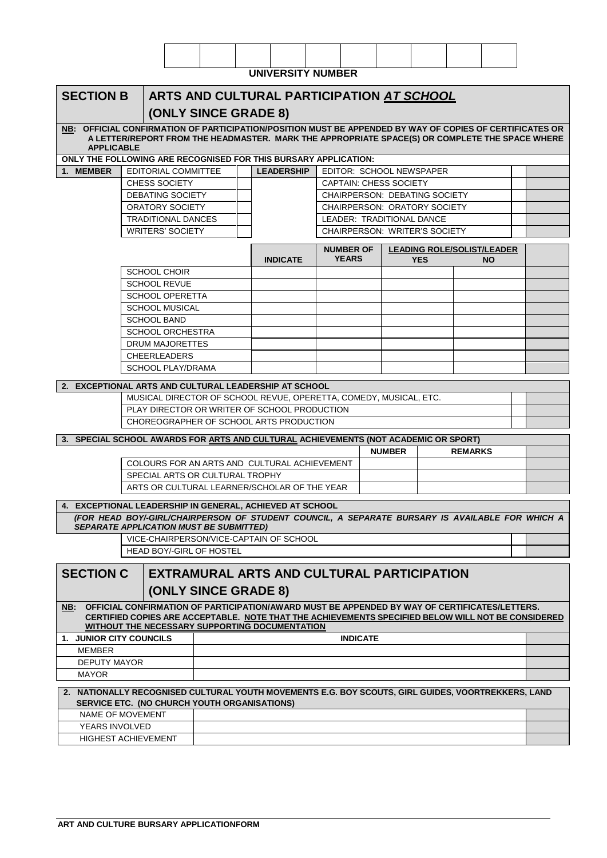|                                                                                                                                                      |                             |  |  | <b>UNIVERSITY NUMBER</b>                   |  |                                              |                               |                                                                   |                |                                                |  |
|------------------------------------------------------------------------------------------------------------------------------------------------------|-----------------------------|--|--|--------------------------------------------|--|----------------------------------------------|-------------------------------|-------------------------------------------------------------------|----------------|------------------------------------------------|--|
|                                                                                                                                                      |                             |  |  |                                            |  |                                              |                               |                                                                   |                |                                                |  |
| <b>SECTION B</b><br>ARTS AND CULTURAL PARTICIPATION AT SCHOOL                                                                                        |                             |  |  |                                            |  |                                              |                               |                                                                   |                |                                                |  |
|                                                                                                                                                      | (ONLY SINCE GRADE 8)        |  |  |                                            |  |                                              |                               |                                                                   |                |                                                |  |
| NB: OFFICIAL CONFIRMATION OF PARTICIPATION/POSITION MUST BE APPENDED BY WAY OF COPIES OF CERTIFICATES OR                                             |                             |  |  |                                            |  |                                              |                               |                                                                   |                |                                                |  |
| A LETTER/REPORT FROM THE HEADMASTER. MARK THE APPROPRIATE SPACE(S) OR COMPLETE THE SPACE WHERE<br><b>APPLICABLE</b>                                  |                             |  |  |                                            |  |                                              |                               |                                                                   |                |                                                |  |
| ONLY THE FOLLOWING ARE RECOGNISED FOR THIS BURSARY APPLICATION:                                                                                      |                             |  |  |                                            |  |                                              |                               |                                                                   |                |                                                |  |
| 1. MEMBER<br>EDITORIAL COMMITTEE                                                                                                                     |                             |  |  | <b>LEADERSHIP</b>                          |  |                                              |                               | EDITOR: SCHOOL NEWSPAPER                                          |                |                                                |  |
| <b>CHESS SOCIETY</b>                                                                                                                                 |                             |  |  |                                            |  |                                              | <b>CAPTAIN: CHESS SOCIETY</b> |                                                                   |                |                                                |  |
| <b>DEBATING SOCIETY</b>                                                                                                                              |                             |  |  |                                            |  |                                              |                               | <b>CHAIRPERSON: DEBATING SOCIETY</b>                              |                |                                                |  |
| <b>ORATORY SOCIETY</b>                                                                                                                               |                             |  |  |                                            |  |                                              |                               | <b>CHAIRPERSON: ORATORY SOCIETY</b>                               |                |                                                |  |
| <b>TRADITIONAL DANCES</b><br><b>WRITERS' SOCIETY</b>                                                                                                 |                             |  |  |                                            |  |                                              |                               | LEADER: TRADITIONAL DANCE<br><b>CHAIRPERSON: WRITER'S SOCIETY</b> |                |                                                |  |
|                                                                                                                                                      |                             |  |  |                                            |  |                                              |                               |                                                                   |                |                                                |  |
|                                                                                                                                                      |                             |  |  | <b>INDICATE</b>                            |  | <b>NUMBER OF</b><br><b>YEARS</b>             |                               | <b>YES</b>                                                        |                | <b>LEADING ROLE/SOLIST/LEADER</b><br><b>NO</b> |  |
| <b>SCHOOL CHOIR</b>                                                                                                                                  |                             |  |  |                                            |  |                                              |                               |                                                                   |                |                                                |  |
| <b>SCHOOL REVUE</b>                                                                                                                                  |                             |  |  |                                            |  |                                              |                               |                                                                   |                |                                                |  |
| <b>SCHOOL OPERETTA</b>                                                                                                                               |                             |  |  |                                            |  |                                              |                               |                                                                   |                |                                                |  |
| <b>SCHOOL MUSICAL</b>                                                                                                                                |                             |  |  |                                            |  |                                              |                               |                                                                   |                |                                                |  |
| <b>SCHOOL BAND</b>                                                                                                                                   |                             |  |  |                                            |  |                                              |                               |                                                                   |                |                                                |  |
| <b>SCHOOL ORCHESTRA</b><br><b>DRUM MAJORETTES</b>                                                                                                    |                             |  |  |                                            |  |                                              |                               |                                                                   |                |                                                |  |
| <b>CHEERLEADERS</b>                                                                                                                                  |                             |  |  |                                            |  |                                              |                               |                                                                   |                |                                                |  |
| <b>SCHOOL PLAY/DRAMA</b>                                                                                                                             |                             |  |  |                                            |  |                                              |                               |                                                                   |                |                                                |  |
|                                                                                                                                                      |                             |  |  |                                            |  |                                              |                               |                                                                   |                |                                                |  |
| 2. EXCEPTIONAL ARTS AND CULTURAL LEADERSHIP AT SCHOOL<br>MUSICAL DIRECTOR OF SCHOOL REVUE, OPERETTA, COMEDY, MUSICAL, ETC.                           |                             |  |  |                                            |  |                                              |                               |                                                                   |                |                                                |  |
| PLAY DIRECTOR OR WRITER OF SCHOOL PRODUCTION                                                                                                         |                             |  |  |                                            |  |                                              |                               |                                                                   |                |                                                |  |
| CHOREOGRAPHER OF SCHOOL ARTS PRODUCTION                                                                                                              |                             |  |  |                                            |  |                                              |                               |                                                                   |                |                                                |  |
|                                                                                                                                                      |                             |  |  |                                            |  |                                              |                               |                                                                   |                |                                                |  |
| 3. SPECIAL SCHOOL AWARDS FOR ARTS AND CULTURAL ACHIEVEMENTS (NOT ACADEMIC OR SPORT)                                                                  |                             |  |  |                                            |  |                                              | <b>NUMBER</b>                 |                                                                   | <b>REMARKS</b> |                                                |  |
|                                                                                                                                                      |                             |  |  |                                            |  | COLOURS FOR AN ARTS AND CULTURAL ACHIEVEMENT |                               |                                                                   |                |                                                |  |
| SPECIAL ARTS OR CULTURAL TROPHY                                                                                                                      |                             |  |  |                                            |  |                                              |                               |                                                                   |                |                                                |  |
| ARTS OR CULTURAL LEARNER/SCHOLAR OF THE YEAR                                                                                                         |                             |  |  |                                            |  |                                              |                               |                                                                   |                |                                                |  |
| 4. EXCEPTIONAL LEADERSHIP IN GENERAL, ACHIEVED AT SCHOOL                                                                                             |                             |  |  |                                            |  |                                              |                               |                                                                   |                |                                                |  |
| (FOR HEAD BOY/-GIRL/CHAIRPERSON OF STUDENT COUNCIL, A SEPARATE BURSARY IS AVAILABLE FOR WHICH A                                                      |                             |  |  |                                            |  |                                              |                               |                                                                   |                |                                                |  |
| <b>SEPARATE APPLICATION MUST BE SUBMITTED)</b><br>VICE-CHAIRPERSON/VICE-CAPTAIN OF SCHOOL                                                            |                             |  |  |                                            |  |                                              |                               |                                                                   |                |                                                |  |
| <b>HEAD BOY/-GIRL OF HOSTEL</b>                                                                                                                      |                             |  |  |                                            |  |                                              |                               |                                                                   |                |                                                |  |
|                                                                                                                                                      |                             |  |  |                                            |  |                                              |                               |                                                                   |                |                                                |  |
| <b>SECTION C</b>                                                                                                                                     |                             |  |  | EXTRAMURAL ARTS AND CULTURAL PARTICIPATION |  |                                              |                               |                                                                   |                |                                                |  |
|                                                                                                                                                      | <b>(ONLY SINCE GRADE 8)</b> |  |  |                                            |  |                                              |                               |                                                                   |                |                                                |  |
| NB: OFFICIAL CONFIRMATION OF PARTICIPATION/AWARD MUST BE APPENDED BY WAY OF CERTIFICATES/LETTERS.                                                    |                             |  |  |                                            |  |                                              |                               |                                                                   |                |                                                |  |
| CERTIFIED COPIES ARE ACCEPTABLE. NOTE THAT THE ACHIEVEMENTS SPECIFIED BELOW WILL NOT BE CONSIDERED<br>WITHOUT THE NECESSARY SUPPORTING DOCUMENTATION |                             |  |  |                                            |  |                                              |                               |                                                                   |                |                                                |  |
| 1. JUNIOR CITY COUNCILS                                                                                                                              |                             |  |  |                                            |  | <b>INDICATE</b>                              |                               |                                                                   |                |                                                |  |
| <b>MEMBER</b>                                                                                                                                        |                             |  |  |                                            |  |                                              |                               |                                                                   |                |                                                |  |
| <b>DEPUTY MAYOR</b>                                                                                                                                  |                             |  |  |                                            |  |                                              |                               |                                                                   |                |                                                |  |
| <b>MAYOR</b>                                                                                                                                         |                             |  |  |                                            |  |                                              |                               |                                                                   |                |                                                |  |
| 2. NATIONALLY RECOGNISED CULTURAL YOUTH MOVEMENTS E.G. BOY SCOUTS, GIRL GUIDES, VOORTREKKERS, LAND                                                   |                             |  |  |                                            |  |                                              |                               |                                                                   |                |                                                |  |
| SERVICE ETC. (NO CHURCH YOUTH ORGANISATIONS)<br>NAME OF MOVEMENT                                                                                     |                             |  |  |                                            |  |                                              |                               |                                                                   |                |                                                |  |
| YEARS INVOLVED                                                                                                                                       |                             |  |  |                                            |  |                                              |                               |                                                                   |                |                                                |  |
| <b>HIGHEST ACHIEVEMENT</b>                                                                                                                           |                             |  |  |                                            |  |                                              |                               |                                                                   |                |                                                |  |

٦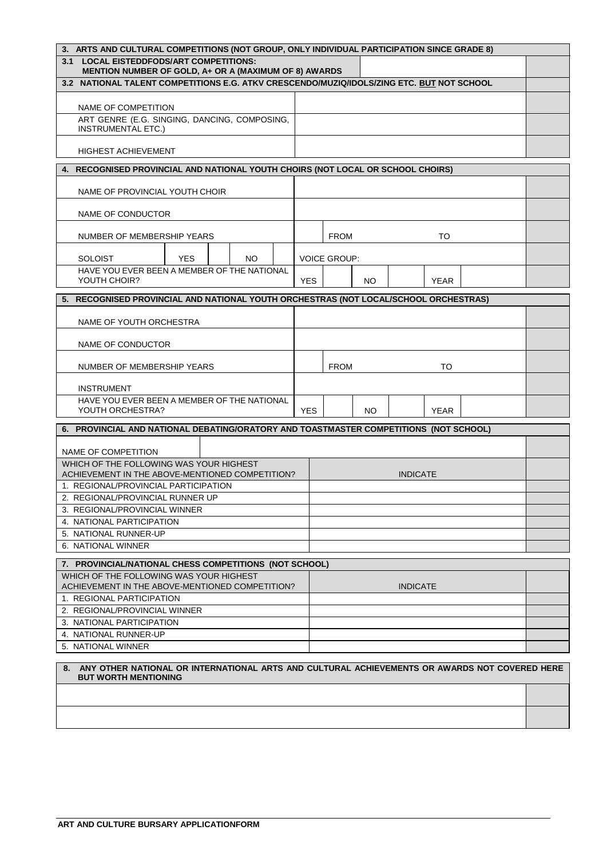| 3. ARTS AND CULTURAL COMPETITIONS (NOT GROUP, ONLY INDIVIDUAL PARTICIPATION SINCE GRADE 8)       |            |                     |     |                 |             |  |  |
|--------------------------------------------------------------------------------------------------|------------|---------------------|-----|-----------------|-------------|--|--|
| 3.1 LOCAL EISTEDDFODS/ART COMPETITIONS:                                                          |            |                     |     |                 |             |  |  |
| MENTION NUMBER OF GOLD, A+ OR A (MAXIMUM OF 8) AWARDS                                            |            |                     |     |                 |             |  |  |
| 3.2 NATIONAL TALENT COMPETITIONS E.G. ATKV CRESCENDO/MUZIQ/IDOLS/ZING ETC. BUT NOT SCHOOL        |            |                     |     |                 |             |  |  |
|                                                                                                  |            |                     |     |                 |             |  |  |
| NAME OF COMPETITION                                                                              |            |                     |     |                 |             |  |  |
| ART GENRE (E.G. SINGING, DANCING, COMPOSING,<br><b>INSTRUMENTAL ETC.)</b>                        |            |                     |     |                 |             |  |  |
|                                                                                                  |            |                     |     |                 |             |  |  |
| <b>HIGHEST ACHIEVEMENT</b>                                                                       |            |                     |     |                 |             |  |  |
| 4. RECOGNISED PROVINCIAL AND NATIONAL YOUTH CHOIRS (NOT LOCAL OR SCHOOL CHOIRS)                  |            |                     |     |                 |             |  |  |
|                                                                                                  |            |                     |     |                 |             |  |  |
| NAME OF PROVINCIAL YOUTH CHOIR                                                                   |            |                     |     |                 |             |  |  |
|                                                                                                  |            |                     |     |                 |             |  |  |
| NAME OF CONDUCTOR                                                                                |            |                     |     |                 |             |  |  |
|                                                                                                  |            |                     |     |                 |             |  |  |
| NUMBER OF MEMBERSHIP YEARS                                                                       |            | <b>FROM</b>         |     |                 | то          |  |  |
| <b>SOLOIST</b><br><b>YES</b><br>NO.                                                              |            | <b>VOICE GROUP:</b> |     |                 |             |  |  |
| HAVE YOU EVER BEEN A MEMBER OF THE NATIONAL                                                      |            |                     |     |                 |             |  |  |
| YOUTH CHOIR?                                                                                     | <b>YES</b> |                     | NO. |                 | <b>YEAR</b> |  |  |
|                                                                                                  |            |                     |     |                 |             |  |  |
| 5. RECOGNISED PROVINCIAL AND NATIONAL YOUTH ORCHESTRAS (NOT LOCAL/SCHOOL ORCHESTRAS)             |            |                     |     |                 |             |  |  |
| NAME OF YOUTH ORCHESTRA                                                                          |            |                     |     |                 |             |  |  |
|                                                                                                  |            |                     |     |                 |             |  |  |
| NAME OF CONDUCTOR                                                                                |            |                     |     |                 |             |  |  |
|                                                                                                  |            |                     |     |                 |             |  |  |
| NUMBER OF MEMBERSHIP YEARS                                                                       |            | <b>FROM</b>         |     |                 | TO          |  |  |
| <b>INSTRUMENT</b>                                                                                |            |                     |     |                 |             |  |  |
| HAVE YOU EVER BEEN A MEMBER OF THE NATIONAL                                                      |            |                     |     |                 |             |  |  |
| YOUTH ORCHESTRA?                                                                                 | <b>YES</b> |                     | NO  |                 | YEAR        |  |  |
| 6. PROVINCIAL AND NATIONAL DEBATING/ORATORY AND TOASTMASTER COMPETITIONS (NOT SCHOOL)            |            |                     |     |                 |             |  |  |
|                                                                                                  |            |                     |     |                 |             |  |  |
| NAME OF COMPETITION                                                                              |            |                     |     |                 |             |  |  |
| WHICH OF THE FOLLOWING WAS YOUR HIGHEST                                                          |            |                     |     |                 |             |  |  |
| ACHIEVEMENT IN THE ABOVE-MENTIONED COMPETITION?                                                  |            |                     |     | <b>INDICATE</b> |             |  |  |
| 1. REGIONAL/PROVINCIAL PARTICIPATION                                                             |            |                     |     |                 |             |  |  |
| 2. REGIONAL/PROVINCIAL RUNNER UP                                                                 |            |                     |     |                 |             |  |  |
| 3. REGIONAL/PROVINCIAL WINNER<br>4. NATIONAL PARTICIPATION                                       |            |                     |     |                 |             |  |  |
|                                                                                                  |            |                     |     |                 |             |  |  |
| 5. NATIONAL RUNNER-UP<br>6. NATIONAL WINNER                                                      |            |                     |     |                 |             |  |  |
|                                                                                                  |            |                     |     |                 |             |  |  |
| 7. PROVINCIAL/NATIONAL CHESS COMPETITIONS (NOT SCHOOL)                                           |            |                     |     |                 |             |  |  |
| WHICH OF THE FOLLOWING WAS YOUR HIGHEST<br>ACHIEVEMENT IN THE ABOVE-MENTIONED COMPETITION?       |            |                     |     | <b>INDICATE</b> |             |  |  |
| 1. REGIONAL PARTICIPATION                                                                        |            |                     |     |                 |             |  |  |
| 2. REGIONAL/PROVINCIAL WINNER                                                                    |            |                     |     |                 |             |  |  |
| 3. NATIONAL PARTICIPATION                                                                        |            |                     |     |                 |             |  |  |
| 4. NATIONAL RUNNER-UP                                                                            |            |                     |     |                 |             |  |  |
| 5. NATIONAL WINNER                                                                               |            |                     |     |                 |             |  |  |
|                                                                                                  |            |                     |     |                 |             |  |  |
| 8. ANY OTHER NATIONAL OR INTERNATIONAL ARTS AND CULTURAL ACHIEVEMENTS OR AWARDS NOT COVERED HERE |            |                     |     |                 |             |  |  |
| <b>BUT WORTH MENTIONING</b>                                                                      |            |                     |     |                 |             |  |  |
|                                                                                                  |            |                     |     |                 |             |  |  |
|                                                                                                  |            |                     |     |                 |             |  |  |
|                                                                                                  |            |                     |     |                 |             |  |  |